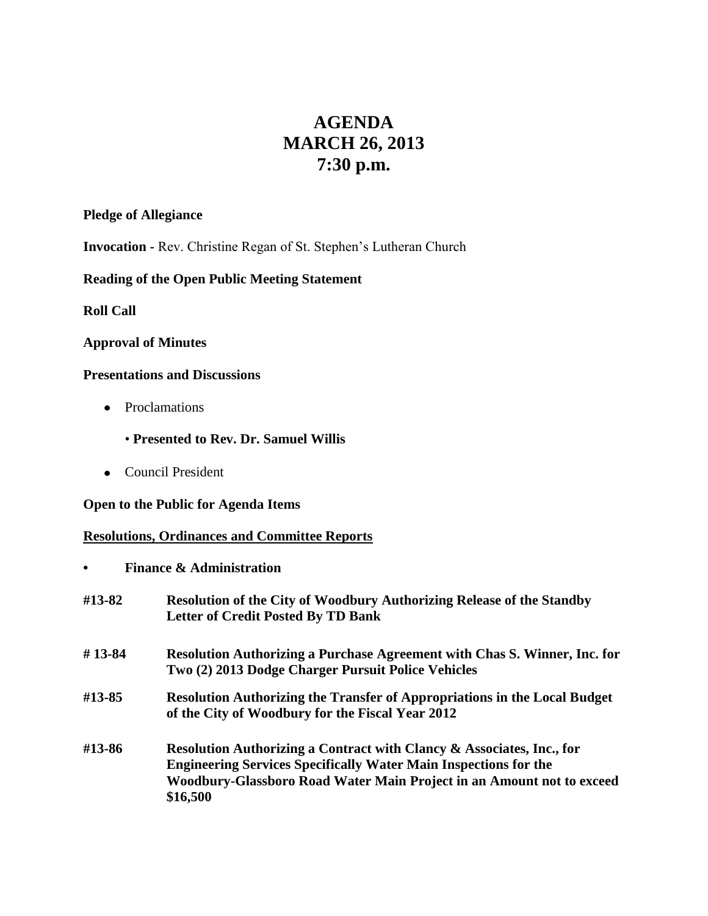# **AGENDA MARCH 26, 2013 7:30 p.m.**

## **Pledge of Allegiance**

**Invocation -** Rev. Christine Regan of St. Stephen's Lutheran Church

# **Reading of the Open Public Meeting Statement**

**Roll Call**

## **Approval of Minutes**

## **Presentations and Discussions**

- Proclamations
	- **Presented to Rev. Dr. Samuel Willis**
- Council President

### **Open to the Public for Agenda Items**

# **Resolutions, Ordinances and Committee Reports**

**• Finance & Administration**

| #13-82 | <b>Resolution of the City of Woodbury Authorizing Release of the Standby</b><br><b>Letter of Credit Posted By TD Bank</b>                                                                                                             |
|--------|---------------------------------------------------------------------------------------------------------------------------------------------------------------------------------------------------------------------------------------|
| #13-84 | Resolution Authorizing a Purchase Agreement with Chas S. Winner, Inc. for<br>Two (2) 2013 Dodge Charger Pursuit Police Vehicles                                                                                                       |
| #13-85 | <b>Resolution Authorizing the Transfer of Appropriations in the Local Budget</b><br>of the City of Woodbury for the Fiscal Year 2012                                                                                                  |
| #13-86 | Resolution Authorizing a Contract with Clancy & Associates, Inc., for<br><b>Engineering Services Specifically Water Main Inspections for the</b><br>Woodbury-Glassboro Road Water Main Project in an Amount not to exceed<br>\$16,500 |